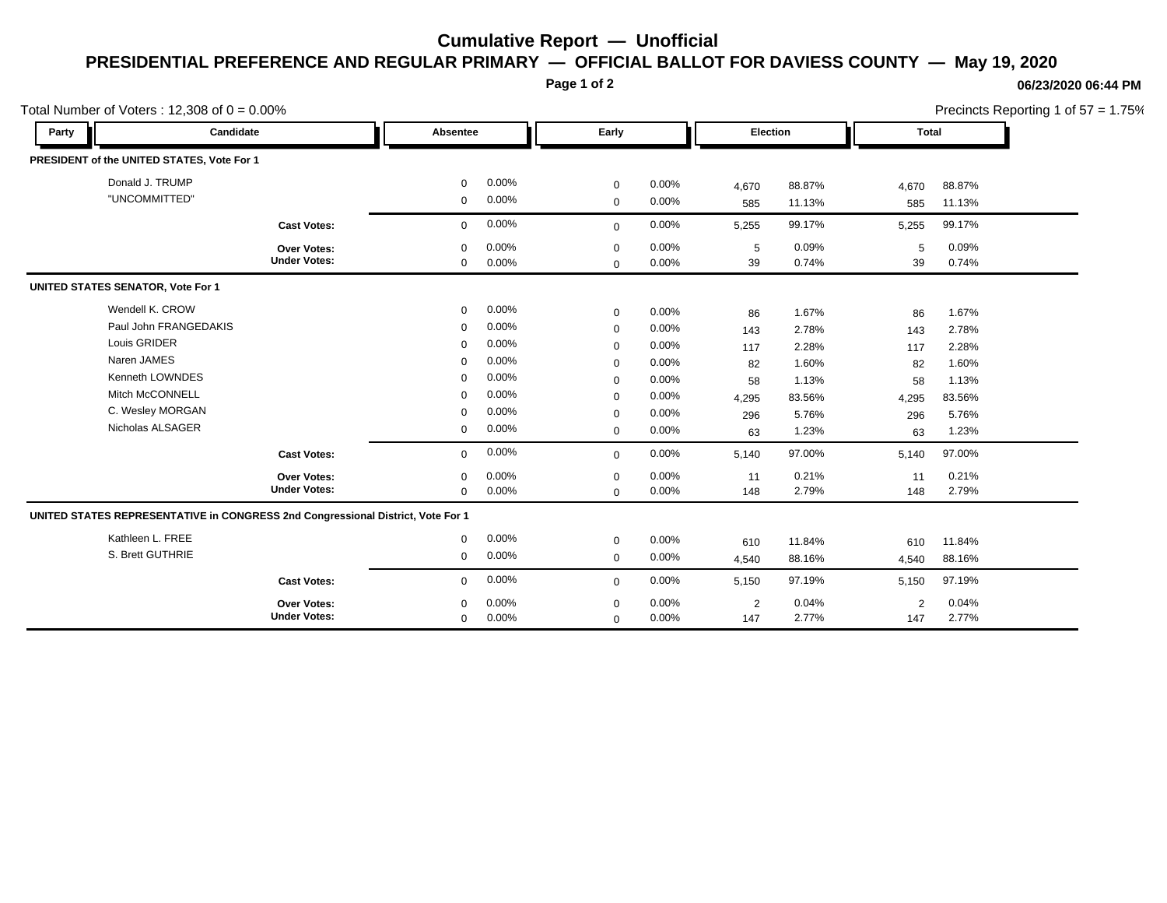## **Cumulative Report — Unofficial PRESIDENTIAL PREFERENCE AND REGULAR PRIMARY — OFFICIAL BALLOT FOR DAVIESS COUNTY — May 19, 2020**

**Page 1 of 2**

## **06/23/2020 06:44 PM**

Precincts Reporting 1 of 57 = 1.75%

| Total Number of Voters: $12,308$ of $0 = 0.00\%$ |                                                                                 |                                           |                  |                |                         |                   |            |                | Precincts Reporting 1 of 57 = 1.75% |                |  |
|--------------------------------------------------|---------------------------------------------------------------------------------|-------------------------------------------|------------------|----------------|-------------------------|-------------------|------------|----------------|-------------------------------------|----------------|--|
| Party                                            | Candidate                                                                       |                                           | Absentee         |                | Early                   |                   |            | Election       |                                     | <b>Total</b>   |  |
|                                                  | PRESIDENT of the UNITED STATES, Vote For 1                                      |                                           |                  |                |                         |                   |            |                |                                     |                |  |
|                                                  | Donald J. TRUMP                                                                 |                                           | $\mathbf 0$      | 0.00%          | $\mathbf 0$             | $0.00\%$          | 4,670      | 88.87%         | 4,670                               | 88.87%         |  |
|                                                  | "UNCOMMITTED"                                                                   |                                           | $\mathbf 0$      | 0.00%          | $\mathbf 0$             | 0.00%             | 585        | 11.13%         | 585                                 | 11.13%         |  |
|                                                  |                                                                                 | <b>Cast Votes:</b>                        | $\mathbf 0$      | 0.00%          | $\mathbf 0$             | 0.00%             | 5,255      | 99.17%         | 5,255                               | 99.17%         |  |
|                                                  |                                                                                 | <b>Over Votes:</b><br><b>Under Votes:</b> | $\mathbf 0$<br>0 | 0.00%<br>0.00% | $\mathbf 0$<br>$\Omega$ | $0.00\%$<br>0.00% | 5<br>39    | 0.09%<br>0.74% | 5<br>39                             | 0.09%<br>0.74% |  |
| <b>UNITED STATES SENATOR, Vote For 1</b>         |                                                                                 |                                           |                  |                |                         |                   |            |                |                                     |                |  |
|                                                  | Wendell K. CROW                                                                 |                                           | $\mathbf 0$      | 0.00%          | $\mathbf 0$             | 0.00%             | 86         | 1.67%          | 86                                  | 1.67%          |  |
|                                                  | Paul John FRANGEDAKIS                                                           |                                           | $\mathbf 0$      | 0.00%          | $\mathbf 0$             | $0.00\%$          | 143        | 2.78%          | 143                                 | 2.78%          |  |
|                                                  | Louis GRIDER                                                                    |                                           | $\mathbf 0$      | 0.00%          | $\mathbf 0$             | 0.00%             | 117        | 2.28%          | 117                                 | 2.28%          |  |
|                                                  | Naren JAMES                                                                     |                                           | $\Omega$         | 0.00%          | $\mathbf 0$             | 0.00%             | 82         | 1.60%          | 82                                  | 1.60%          |  |
|                                                  | Kenneth LOWNDES                                                                 |                                           | $\Omega$         | 0.00%          | $\mathbf 0$             | 0.00%             | 58         | 1.13%          | 58                                  | 1.13%          |  |
|                                                  | <b>Mitch McCONNELL</b>                                                          |                                           | $\Omega$         | 0.00%          | $\mathbf 0$             | 0.00%             | 4,295      | 83.56%         | 4,295                               | 83.56%         |  |
|                                                  | C. Wesley MORGAN                                                                |                                           | $\Omega$         | $0.00\%$       | $\mathbf 0$             | 0.00%             | 296        | 5.76%          | 296                                 | 5.76%          |  |
|                                                  | Nicholas ALSAGER                                                                |                                           | 0                | 0.00%          | $\mathbf 0$             | 0.00%             | 63         | 1.23%          | 63                                  | 1.23%          |  |
|                                                  |                                                                                 | <b>Cast Votes:</b>                        | $\mathbf 0$      | 0.00%          | $\mathbf 0$             | 0.00%             | 5,140      | 97.00%         | 5,140                               | 97.00%         |  |
|                                                  |                                                                                 | <b>Over Votes:</b>                        | 0                | 0.00%          | $\mathbf 0$             | 0.00%             | 11         | 0.21%          | 11                                  | 0.21%          |  |
|                                                  |                                                                                 | <b>Under Votes:</b>                       | $\mathbf 0$      | 0.00%          | $\mathbf 0$             | 0.00%             | 148        | 2.79%          | 148                                 | 2.79%          |  |
|                                                  | UNITED STATES REPRESENTATIVE in CONGRESS 2nd Congressional District, Vote For 1 |                                           |                  |                |                         |                   |            |                |                                     |                |  |
|                                                  | Kathleen L. FREE                                                                |                                           | 0                | 0.00%          | $\mathbf 0$             | 0.00%             | 610        | 11.84%         | 610                                 | 11.84%         |  |
|                                                  | S. Brett GUTHRIE                                                                |                                           | $\mathbf 0$      | 0.00%          | $\mathbf 0$             | $0.00\%$          | 4,540      | 88.16%         | 4,540                               | 88.16%         |  |
|                                                  |                                                                                 | <b>Cast Votes:</b>                        | $\mathbf 0$      | 0.00%          | $\mathbf{0}$            | 0.00%             | 5,150      | 97.19%         | 5,150                               | 97.19%         |  |
|                                                  |                                                                                 | Over Votes:                               | $\mathbf 0$      | 0.00%          | $\mathbf 0$             | 0.00%             | $\sqrt{2}$ | 0.04%          | $\overline{2}$                      | 0.04%          |  |
|                                                  |                                                                                 | <b>Under Votes:</b>                       | $\mathbf 0$      | 0.00%          | $\mathbf 0$             | 0.00%             | 147        | 2.77%          | 147                                 | 2.77%          |  |